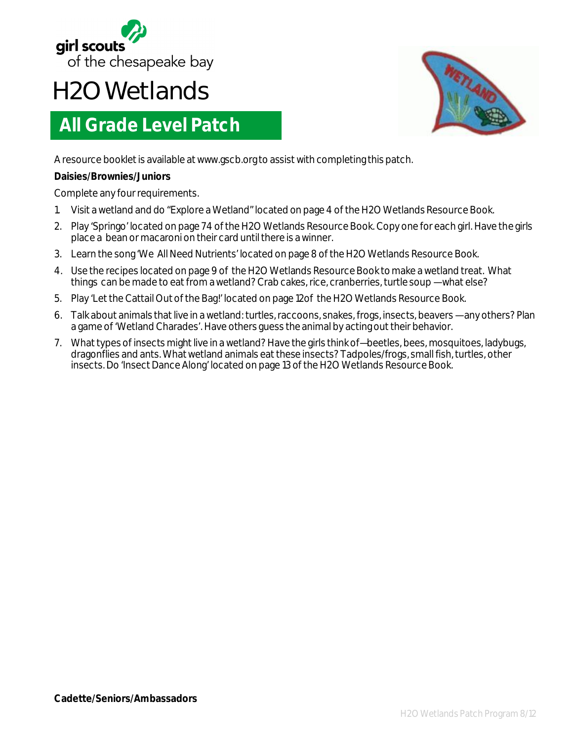

## **H2O Wetlands**

## **All Grade Level Patch**



A resource booklet is available at www.gscb.org to assist with completing this patch.

## **Daisies/Brownies/Juniors**

Complete any four requirements.

- 1. Visit a wetland and do "Explore a Wetland" located on page 4 of the H2O Wetlands Resource Book.
- 2. Play 'Springo' located on page 74 of the H2O Wetlands Resource Book. Copy one for each girl. Have the girls place a bean or macaroni on their card until there is a winner.
- 3. Learn the song 'We All Need Nutrients' located on page 8 of the H2O Wetlands Resource Book.
- 4. Use the recipes located on page 9 of the H2O Wetlands Resource Book to make a wetland treat. What things can be made to eat from a wetland? Crab cakes, rice, cranberries, turtle soup —what else?
- 5. Play 'Let the Cattail Out of the Bag!' located on page 12of the H2O Wetlands Resource Book.
- 6. Talk about animals that live in a wetland: turtles, raccoons, snakes, frogs, insects, beavers any others? Plan a game of 'Wetland Charades'. Have others guess the animal by acting out their behavior.
- 7. What types of insects might live in a wetland? Have the girls think of—beetles, bees, mosquitoes, ladybugs, dragonflies and ants. What wetland animals eat these insects? Tadpoles/frogs, small fish, turtles, other insects. Do 'Insect Dance Along' located on page 13 of the H2O Wetlands Resource Book.